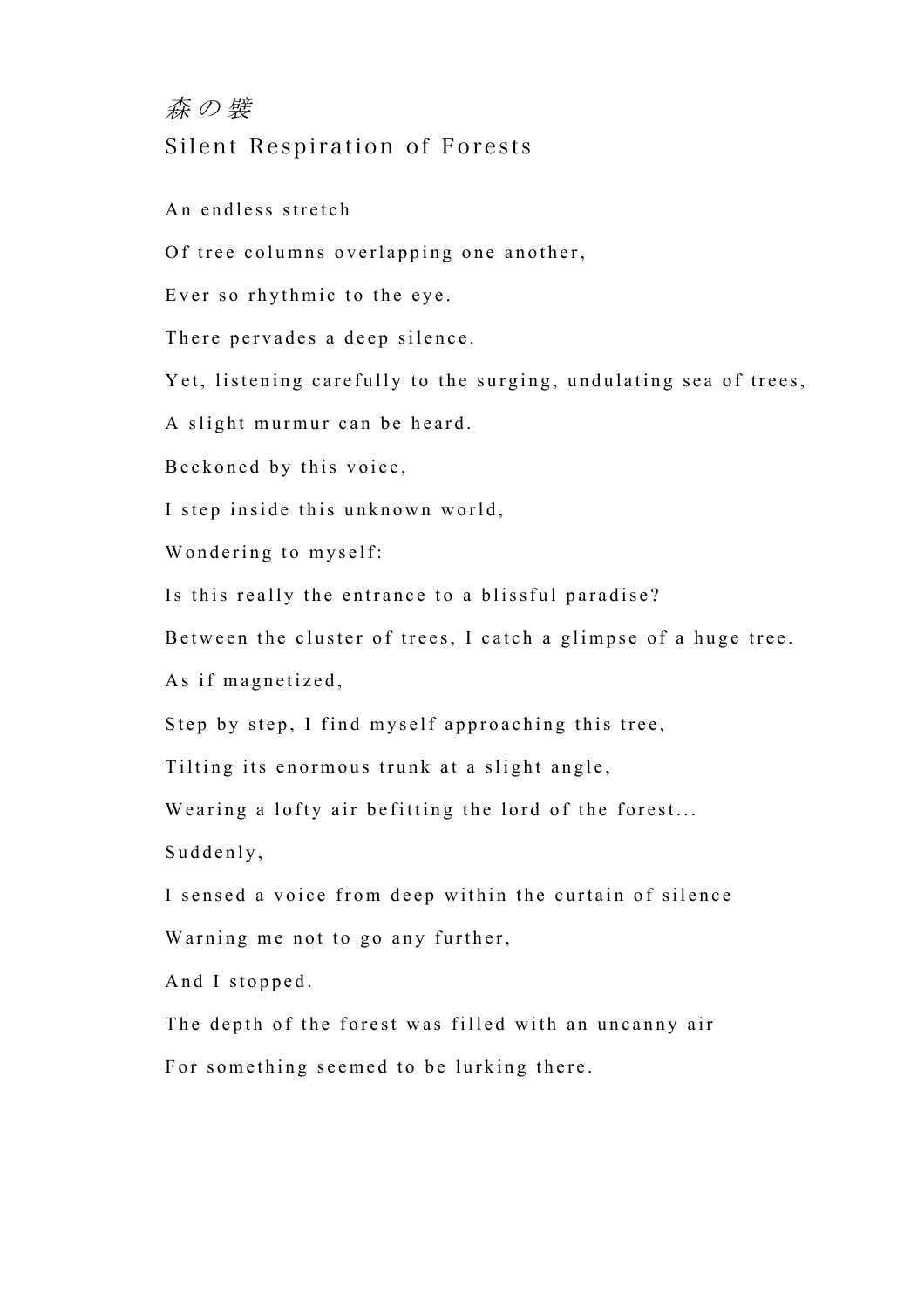## 森の襞 Silent Respiration of Forests

An endless stretch

Of tree columns overlapping one another,

Ever so rhythmic to the eye.

There pervades a deep silence.

Yet, listening carefully to the surging, undulating sea of trees,

A slight murmur can be heard.

Beckoned by this voice,

I step inside this unknown world,

Wondering to myself:

Is this really the entrance to a blissful paradise?

Between the cluster of trees, I catch a glimpse of a huge tree.

As if magnetized,

Step by step, I find myself approaching this tree,

Tilting its enormous trunk at a slight angle,

Wearing a lofty air befitting the lord of the forest...

Suddenly,

I sensed a voice from deep within the curtain of silence Warning me not to go any further,

And I stopped.

The depth of the forest was filled with an uncanny air For something seemed to be lurking there.